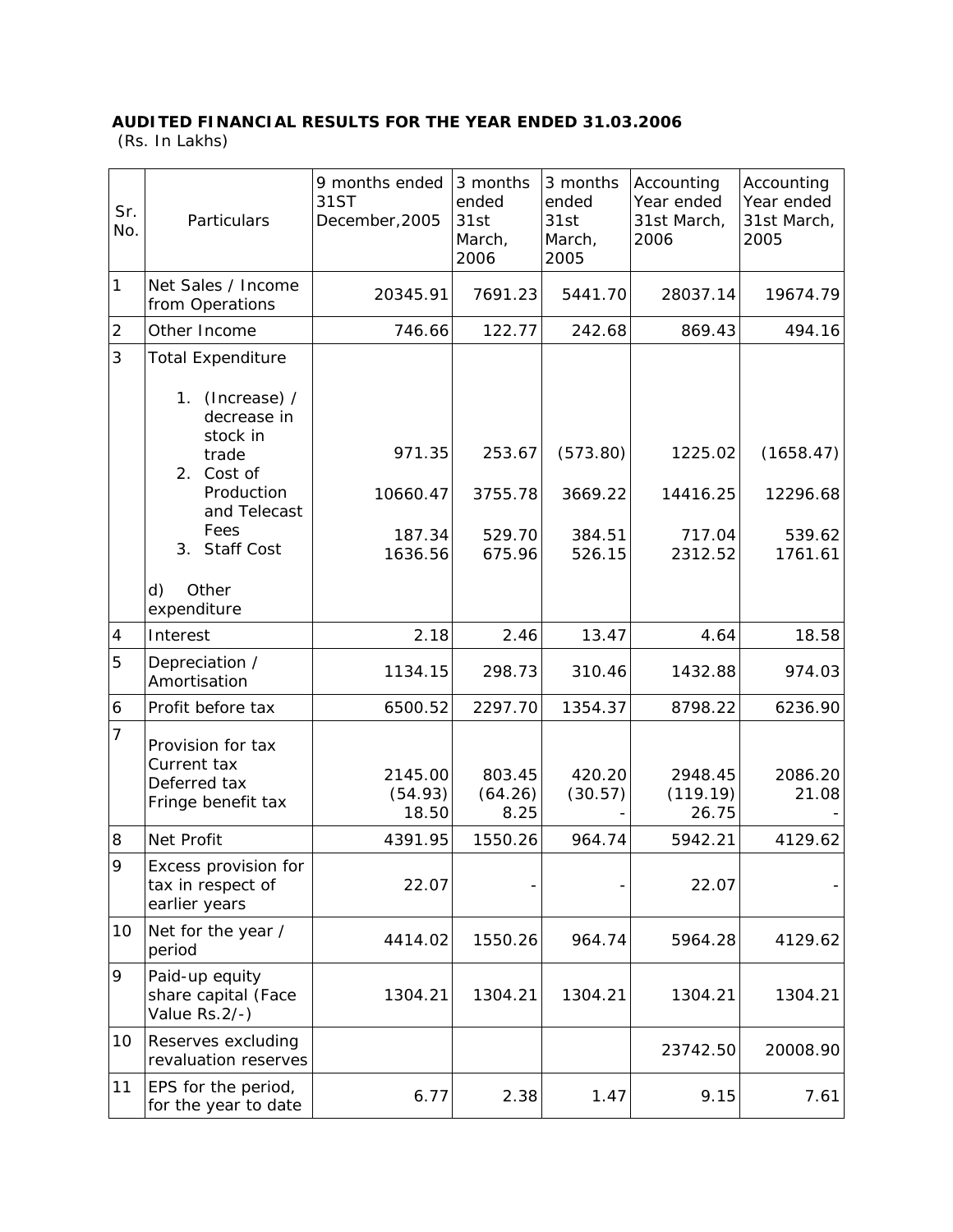## **AUDITED FINANCIAL RESULTS FOR THE YEAR ENDED 31.03.2006**

(Rs. In Lakhs)

| Sr.<br>No.     | Particulars                                                            | 9 months ended<br>31ST<br>December, 2005 | 3 months<br>ended<br>31st<br>March,<br>2006 | 3 months<br>ended<br>31st<br>March,<br>2005 | Accounting<br>Year ended<br>31st March,<br>2006 | Accounting<br>Year ended<br>31st March,<br>2005 |
|----------------|------------------------------------------------------------------------|------------------------------------------|---------------------------------------------|---------------------------------------------|-------------------------------------------------|-------------------------------------------------|
| $\mathbf{1}$   | Net Sales / Income<br>from Operations                                  | 20345.91                                 | 7691.23                                     | 5441.70                                     | 28037.14                                        | 19674.79                                        |
| $\overline{2}$ | Other Income                                                           | 746.66                                   | 122.77                                      | 242.68                                      | 869.43                                          | 494.16                                          |
| 3              | <b>Total Expenditure</b><br>1. (Increase) /<br>decrease in             |                                          |                                             |                                             |                                                 |                                                 |
|                | stock in<br>trade<br>2. Cost of                                        | 971.35                                   | 253.67                                      | (573.80)                                    | 1225.02                                         | (1658.47)                                       |
|                | Production<br>and Telecast                                             | 10660.47                                 | 3755.78                                     | 3669.22                                     | 14416.25                                        | 12296.68                                        |
|                | Fees<br>3. Staff Cost                                                  | 187.34<br>1636.56                        | 529.70<br>675.96                            | 384.51<br>526.15                            | 717.04<br>2312.52                               | 539.62<br>1761.61                               |
|                | Other<br>d)<br>expenditure                                             |                                          |                                             |                                             |                                                 |                                                 |
| 4              | Interest                                                               | 2.18                                     | 2.46                                        | 13.47                                       | 4.64                                            | 18.58                                           |
| 5              | Depreciation /<br>Amortisation                                         | 1134.15                                  | 298.73                                      | 310.46                                      | 1432.88                                         | 974.03                                          |
| 6              | Profit before tax                                                      | 6500.52                                  | 2297.70                                     | 1354.37                                     | 8798.22                                         | 6236.90                                         |
| $\overline{7}$ | Provision for tax<br>Current tax<br>Deferred tax<br>Fringe benefit tax | 2145.00<br>(54.93)<br>18.50              | 803.45<br>(64.26)<br>8.25                   | 420.20<br>(30.57)                           | 2948.45<br>(119.19)<br>26.75                    | 2086.20<br>21.08                                |
| 8              | Net Profit                                                             | 4391.95                                  | 1550.26                                     | 964.74                                      | 5942.21                                         | 4129.62                                         |
| 9              | Excess provision for<br>tax in respect of<br>earlier years             | 22.07                                    |                                             |                                             | 22.07                                           |                                                 |
| 10             | Net for the year /<br>period                                           | 4414.02                                  | 1550.26                                     | 964.74                                      | 5964.28                                         | 4129.62                                         |
| 9              | Paid-up equity<br>share capital (Face<br>Value Rs.2/-)                 | 1304.21                                  | 1304.21                                     | 1304.21                                     | 1304.21                                         | 1304.21                                         |
| 10             | Reserves excluding<br>revaluation reserves                             |                                          |                                             |                                             | 23742.50                                        | 20008.90                                        |
| 11             | EPS for the period,<br>for the year to date                            | 6.77                                     | 2.38                                        | 1.47                                        | 9.15                                            | 7.61                                            |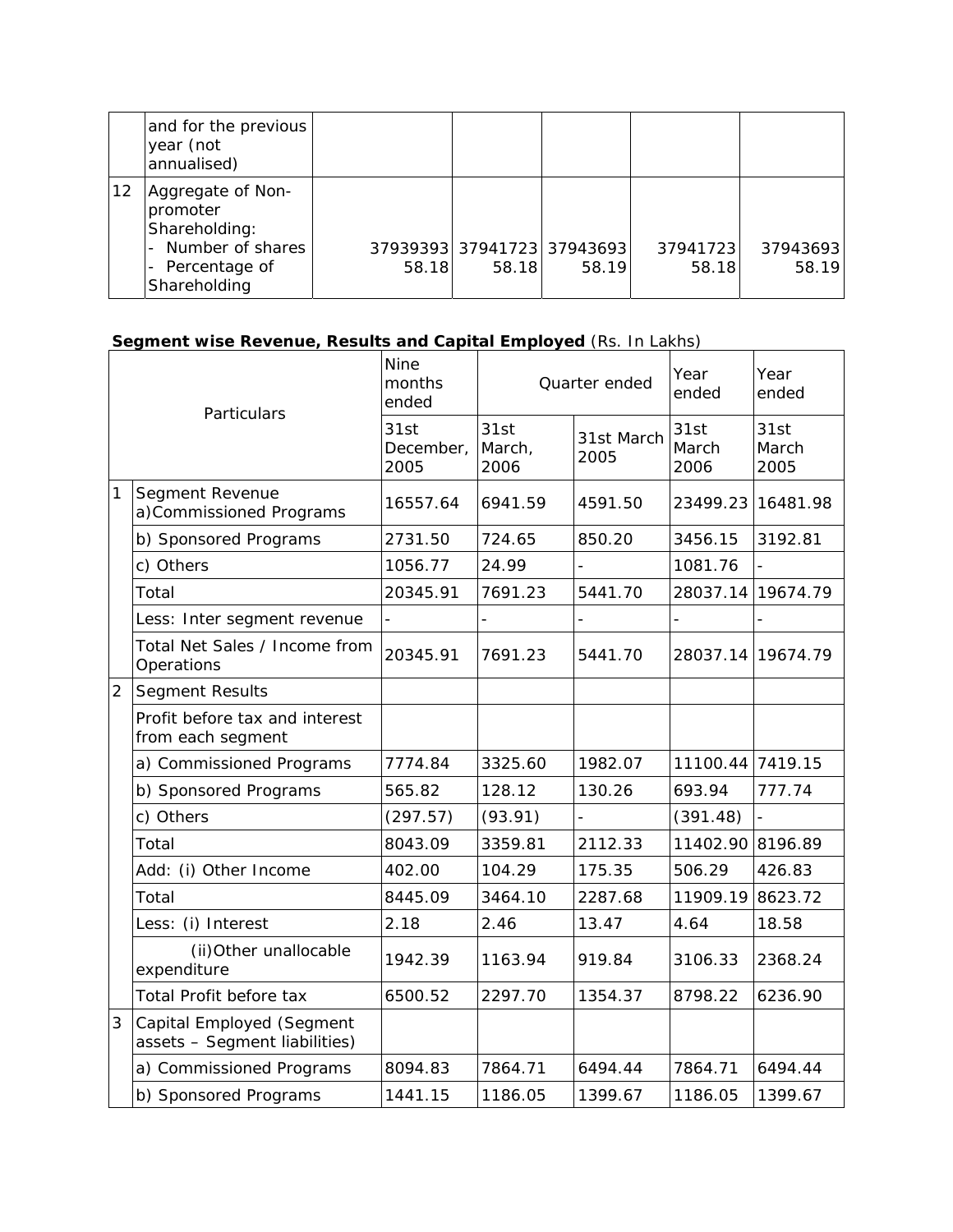|    | and for the previous<br>year (not<br>annualised)                                                        |       |       |                                     |                   |                   |
|----|---------------------------------------------------------------------------------------------------------|-------|-------|-------------------------------------|-------------------|-------------------|
| 12 | Aggregate of Non-<br>promoter<br>Shareholding:<br>- Number of shares<br>- Percentage of<br>Shareholding | 58.18 | 58.18 | 37939393 37941723 37943693<br>58.19 | 37941723<br>58.18 | 37943693<br>58.19 |

## **Segment wise Revenue, Results and Capital Employed (Rs. In Lakhs)**

| Particulars    |                                                            | <b>Nine</b><br>months<br>ended | Quarter ended          |                    | Year<br>ended         | Year<br>ended         |
|----------------|------------------------------------------------------------|--------------------------------|------------------------|--------------------|-----------------------|-----------------------|
|                |                                                            | 31st<br>December,<br>2005      | 31st<br>March,<br>2006 | 31st March<br>2005 | 31st<br>March<br>2006 | 31st<br>March<br>2005 |
| 1              | Segment Revenue<br>a)Commissioned Programs                 | 16557.64                       | 6941.59                | 4591.50            | 23499.23              | 16481.98              |
|                | b) Sponsored Programs                                      | 2731.50                        | 724.65                 | 850.20             | 3456.15               | 3192.81               |
|                | c) Others                                                  | 1056.77                        | 24.99                  |                    | 1081.76               |                       |
|                | Total                                                      | 20345.91                       | 7691.23                | 5441.70            | 28037.14              | 19674.79              |
|                | Less: Inter segment revenue                                | $\frac{1}{2}$                  |                        |                    |                       |                       |
|                | Total Net Sales / Income from<br>Operations                | 20345.91                       | 7691.23                | 5441.70            |                       | 28037.14 19674.79     |
| $\overline{2}$ | <b>Segment Results</b>                                     |                                |                        |                    |                       |                       |
|                | Profit before tax and interest<br>from each segment        |                                |                        |                    |                       |                       |
|                | a) Commissioned Programs                                   | 7774.84                        | 3325.60                | 1982.07            | 11100.44 7419.15      |                       |
|                | b) Sponsored Programs                                      | 565.82                         | 128.12                 | 130.26             | 693.94                | 777.74                |
|                | c) Others                                                  | (297.57)                       | (93.91)                |                    | (391.48)              |                       |
|                | Total                                                      | 8043.09                        | 3359.81                | 2112.33            | 11402.90 8196.89      |                       |
|                | Add: (i) Other Income                                      | 402.00                         | 104.29                 | 175.35             | 506.29                | 426.83                |
|                | Total                                                      | 8445.09                        | 3464.10                | 2287.68            | 11909.19              | 8623.72               |
|                | Less: (i) Interest                                         | 2.18                           | 2.46                   | 13.47              | 4.64                  | 18.58                 |
|                | (ii) Other unallocable<br>expenditure                      | 1942.39                        | 1163.94                | 919.84             | 3106.33               | 2368.24               |
|                | Total Profit before tax                                    | 6500.52                        | 2297.70                | 1354.37            | 8798.22               | 6236.90               |
| 3              | Capital Employed (Segment<br>assets - Segment liabilities) |                                |                        |                    |                       |                       |
|                | a) Commissioned Programs                                   | 8094.83                        | 7864.71                | 6494.44            | 7864.71               | 6494.44               |
|                | b) Sponsored Programs                                      | 1441.15                        | 1186.05                | 1399.67            | 1186.05               | 1399.67               |